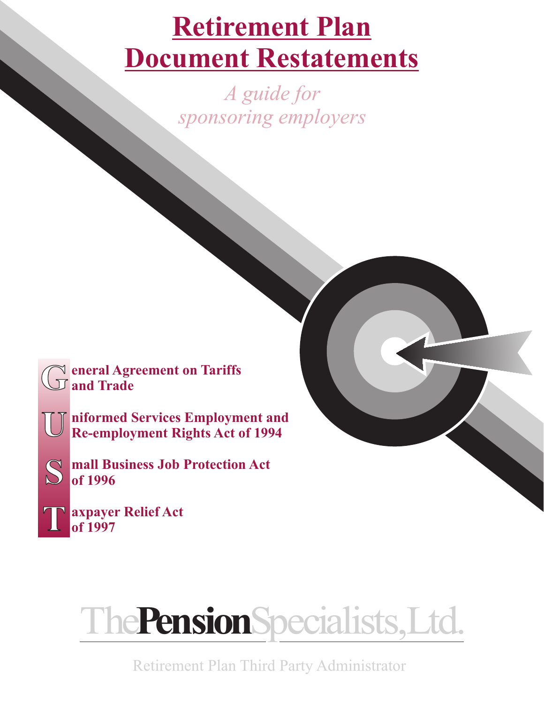## **Retirement Plan Document Restatements**

*A guide for sponsoring employers*



**niformed Services Employment and Re-employment Rights Act of 1994**

**mall Business Job Protection Act of 1996**



**U**

**S**

**axpayer Relief Act of 1997**



Retirement Plan Third Party Administrator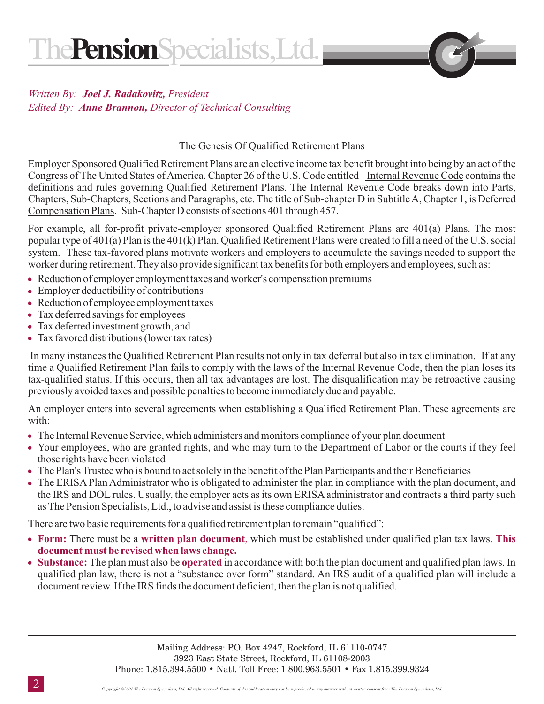## **Written By: Joel J. Radakovitz, President** Edited By: Anne Brannon, Director of Technical Consulting

## The Genesis Of Qualified Retirement Plans

Congress of The United States of America. Chapter 26 of the U.S. Code entitled Internal Revenue Code contains the Chapters, Sub-Chapters, Sections and Paragraphs, etc. The title of Sub-chapter D in Subtitle A, Chapter 1, is Deferred Compensation Plans . Sub-Chapter D consists of sections 401 through 457. Employer Sponsored Qualified Retirement Plans are an elective income tax benefit brought into being by an act of the definitions and rules governing Qualified Retirement Plans. The Internal Revenue Code breaks down into Parts,

popular type of 401(a) Plan is the  $401(k)$  Plan. Qualified Retirement Plans were created to fill a need of the U.S. social For example, all for-profit private-employer sponsored Qualified Retirement Plans are 401(a) Plans. The most system. These tax-favored plans motivate workers and employers to accumulate the savings needed to support the worker during retirement. They also provide significant tax benefits for both employers and employees, such as:

- Reduction of employer employment taxes and worker's compensation premiums
- Employer deductibility of contributions
- Reduction of employee employment taxes
- Tax deferred savings for employees
- Tax deferred investment growth, and
- Tax favored distributions (lower tax rates)

In many instances the Qualified Retirement Plan results not only in tax deferral but also in tax elimination. If at any time a Qualified Retirement Plan fails to comply with the laws of the Internal Revenue Code, then the plan loses its tax-qualified status. If this occurs, then all tax advantages are lost. The disqualification may be retroactive causing previously avoided taxes and possible penalties to become immediately due and payable.

An employer enters into several agreements when establishing a Qualified Retirement Plan. These agreements are with:

- The Internal Revenue Service, which administers and monitors compliance of your plan document
- Your employees, who are granted rights, and who may turn to the Department of Labor or the courts if they feel those rights have been violated
- The Plan's Trustee who is bound to act solely in the benefit of the Plan Participants and their Beneficiaries
- The ERISA Plan Administrator who is obligated to administer the plan in compliance with the plan document, and the IRS and DOL rules. Usually, the employer acts as its own ERISA administrator and contracts a third party such as The Pension Specialists, Ltd., to advise and assist is these compliance duties.

There are two basic requirements for a qualified retirement plan to remain "qualified":

- Form: There must be a written plan document, which must be established under qualified plan tax laws. This **document must be revised when laws change.**
- Substance: The plan must also be operated in accordance with both the plan document and qualified plan laws. In qualified plan law, there is not a "substance over form" standard. An IRS audit of a qualified plan will include a document review. If the IRS finds the document deficient, then the plan is not qualified.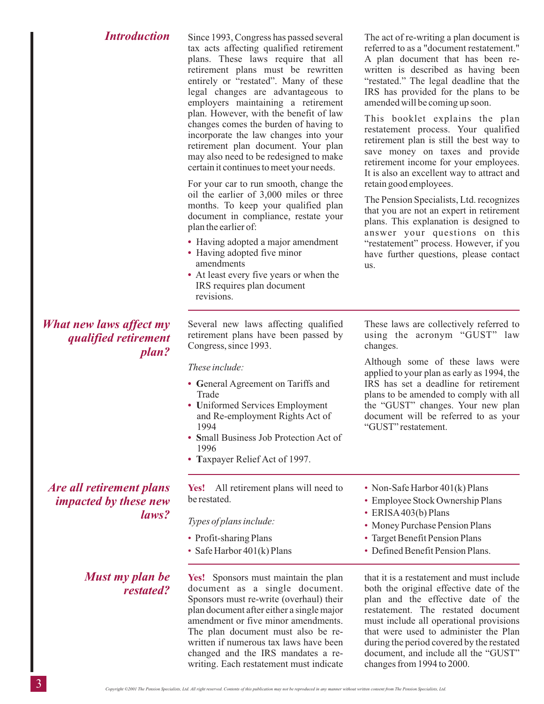| <b>Introduction</b>                                                      | Since 1993, Congress has passed several<br>tax acts affecting qualified retirement<br>plans. These laws require that all<br>retirement plans must be rewritten<br>entirely or "restated". Many of these<br>legal changes are advantageous to<br>employers maintaining a retirement<br>plan. However, with the benefit of law<br>changes comes the burden of having to<br>incorporate the law changes into your<br>retirement plan document. Your plan<br>may also need to be redesigned to make<br>certain it continues to meet your needs.<br>For your car to run smooth, change the<br>oil the earlier of 3,000 miles or three<br>months. To keep your qualified plan<br>document in compliance, restate your<br>plan the earlier of:<br>• Having adopted a major amendment<br>• Having adopted five minor<br>amendments<br>• At least every five years or when the<br>IRS requires plan document<br>revisions. | The act of re-writing a plan document is<br>referred to as a "document restatement."<br>A plan document that has been re-<br>written is described as having been<br>"restated." The legal deadline that the<br>IRS has provided for the plans to be<br>amended will be coming up soon.<br>This booklet explains the plan<br>restatement process. Your qualified<br>retirement plan is still the best way to<br>save money on taxes and provide<br>retirement income for your employees.<br>It is also an excellent way to attract and<br>retain good employees.<br>The Pension Specialists, Ltd. recognizes<br>that you are not an expert in retirement<br>plans. This explanation is designed to<br>answer your questions on this<br>"restatement" process. However, if you<br>have further questions, please contact<br>us. |
|--------------------------------------------------------------------------|-------------------------------------------------------------------------------------------------------------------------------------------------------------------------------------------------------------------------------------------------------------------------------------------------------------------------------------------------------------------------------------------------------------------------------------------------------------------------------------------------------------------------------------------------------------------------------------------------------------------------------------------------------------------------------------------------------------------------------------------------------------------------------------------------------------------------------------------------------------------------------------------------------------------|-------------------------------------------------------------------------------------------------------------------------------------------------------------------------------------------------------------------------------------------------------------------------------------------------------------------------------------------------------------------------------------------------------------------------------------------------------------------------------------------------------------------------------------------------------------------------------------------------------------------------------------------------------------------------------------------------------------------------------------------------------------------------------------------------------------------------------|
| What new laws affect my<br>qualified retirement<br>plan?                 | Several new laws affecting qualified<br>retirement plans have been passed by<br>Congress, since 1993.                                                                                                                                                                                                                                                                                                                                                                                                                                                                                                                                                                                                                                                                                                                                                                                                             | These laws are collectively referred to<br>using the acronym "GUST" law<br>changes.                                                                                                                                                                                                                                                                                                                                                                                                                                                                                                                                                                                                                                                                                                                                           |
|                                                                          | These include:<br>• General Agreement on Tariffs and<br>Trade<br>• Uniformed Services Employment<br>and Re-employment Rights Act of<br>1994<br>• Small Business Job Protection Act of<br>1996<br>• Taxpayer Relief Act of 1997.                                                                                                                                                                                                                                                                                                                                                                                                                                                                                                                                                                                                                                                                                   | Although some of these laws were<br>applied to your plan as early as 1994, the<br>IRS has set a deadline for retirement<br>plans to be amended to comply with all<br>the "GUST" changes. Your new plan<br>document will be referred to as your<br>"GUST" restatement.                                                                                                                                                                                                                                                                                                                                                                                                                                                                                                                                                         |
| <i>Are all retirement plans</i><br><i>impacted by these new</i><br>laws? | All retirement plans will need to<br>Yes!<br>be restated.                                                                                                                                                                                                                                                                                                                                                                                                                                                                                                                                                                                                                                                                                                                                                                                                                                                         | • Non-Safe Harbor 401(k) Plans<br>• Employee Stock Ownership Plans<br>• ERISA403(b) Plans<br>• Money Purchase Pension Plans<br>• Target Benefit Pension Plans<br>• Defined Benefit Pension Plans.                                                                                                                                                                                                                                                                                                                                                                                                                                                                                                                                                                                                                             |
|                                                                          | Types of plans include:<br>• Profit-sharing Plans<br>• Safe Harbor 401(k) Plans                                                                                                                                                                                                                                                                                                                                                                                                                                                                                                                                                                                                                                                                                                                                                                                                                                   |                                                                                                                                                                                                                                                                                                                                                                                                                                                                                                                                                                                                                                                                                                                                                                                                                               |
| Must my plan be                                                          | Yes! Sponsors must maintain the plan                                                                                                                                                                                                                                                                                                                                                                                                                                                                                                                                                                                                                                                                                                                                                                                                                                                                              | that it is a restatement and must include                                                                                                                                                                                                                                                                                                                                                                                                                                                                                                                                                                                                                                                                                                                                                                                     |

that it is a restatement and must include both the original effective date of the plan and the effective date of the restatement. The restated document must include all operational provisions that were used to administer the Plan during the period covered by the restated document, and include all the "GUST" changes from 1994 to 2000.

**Yes!** Sponsors must maintain the plan document as a single document. Sponsors must re-write (overhaul) their plan document after either a single major amendment or five minor amendments. The plan document must also be rewritten if numerous tax laws have been changed and the IRS mandates a rewriting. Each restatement must indicate

*restated?*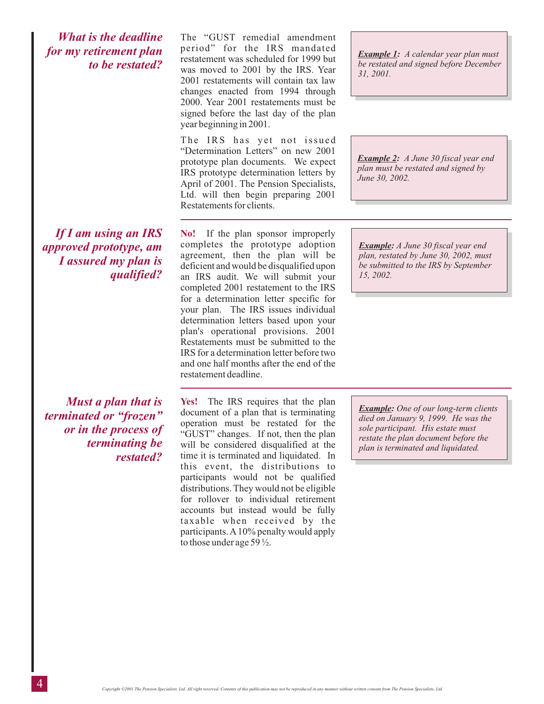*What is the deadline for my retirement plan to be restated?*

*If I am using an IRS approved prototype, am I assured my plan is qualified?* The "GUST remedial amendment period" for the IRS mandated restatement was scheduled for 1999 but was moved to 2001 by the IRS. Year 2001 restatements will contain tax law changes enacted from 1994 through 2000. Year 2001 restatements must be signed before the last day of the plan year beginning in 2001.

The IRS has yet not issued "Determination Letters" on new 2001 prototype plan documents. We expect IRS prototype determination letters by April of 2001. The Pension Specialists, Ltd. will then begin preparing 2001 Restatements for clients.

**No!** If the plan sponsor improperly completes the prototype adoption agreement, then the plan will be deficient and would be disqualified upon an IRS audit. We will submit your completed 2001 restatement to the IRS for a determination letter specific for your plan. The IRS issues individual determination letters based upon your plan's operational provisions. 2001 Restatements must be submitted to the IRS for a determination letter before two and one half months after the end of the restatement deadline.

*Example 1: A calendar year plan must be restated and signed before December 31, 2001.*

*Example 2: A June 30 fiscal year end plan must be restated and signed by June 30, 2002.*

*Example: A June 30 fiscal year end plan, restated by June 30, 2002, must be submitted to the IRS by September 15, 2002.*

## *Must a plan that is terminated or "frozen" or in the process of terminating be restated?*

**Yes!** The IRS requires that the plan document of a plan that is terminating operation must be restated for the "GUST" changes. If not, then the plan will be considered disqualified at the time it is terminated and liquidated. In this event, the distributions to participants would not be qualified distributions. They would not be eligible for rollover to individual retirement accounts but instead would be fully taxable when received by the participants.A10% penalty would apply to those under age 59 ½.

*Example: One of our long-term clients died on January 9, 1999. He was the sole participant. His estate must restate the plan document before the plan is terminated and liquidated.*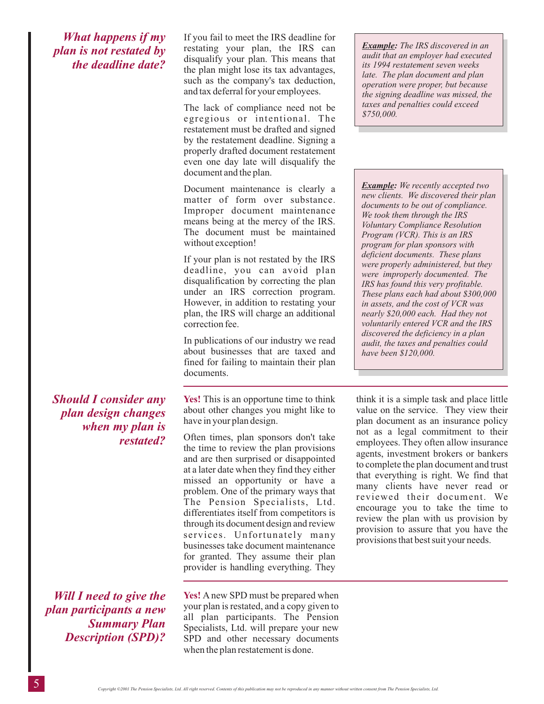*What happens if my plan is not restated by the deadline date?* If you fail to meet the IRS deadline for restating your plan, the IRS can disqualify your plan. This means that the plan might lose its tax advantages, such as the company's tax deduction, and tax deferral for your employees.

The lack of compliance need not be egregious or intentional. The restatement must be drafted and signed by the restatement deadline. Signing a properly drafted document restatement even one day late will disqualify the document and the plan.

Document maintenance is clearly a matter of form over substance. Improper document maintenance means being at the mercy of the IRS. The document must be maintained without exception!

If your plan is not restated by the IRS deadline, you can avoid plan disqualification by correcting the plan under an IRS correction program. However, in addition to restating your plan, the IRS will charge an additional correction fee.

In publications of our industry we read about businesses that are taxed and fined for failing to maintain their plan documents.

*Should I consider any plan design changes when my plan is restated?*

*Will I need to give the plan participants a new Summary Plan Description (SPD)?*

Yes! This is an opportune time to think about other changes you might like to have in your plan design.

Often times, plan sponsors don't take the time to review the plan provisions and are then surprised or disappointed at a later date when they find they either missed an opportunity or have a problem. One of the primary ways that The Pension Specialists, Ltd. differentiates itself from competitors is through its document design and review services. Unfortunately many businesses take document maintenance for granted. They assume their plan provider is handling everything. They

**Yes!** A new SPD must be prepared when your plan is restated, and a copy given to all plan participants. The Pension Specialists, Ltd. will prepare your new SPD and other necessary documents when the plan restatement is done.

*Example: The IRS discovered in an audit that an employer had executed its 1994 restatement seven weeks late. The plan document and plan operation were proper, but because the signing deadline was missed, the taxes and penalties could exceed \$750,000.*

*Example: We recently accepted two new clients. We discovered their plan documents to be out of compliance. We took them through the IRS Voluntary Compliance Resolution Program (VCR). This is an IRS program for plan sponsors with deficient documents. These plans were properly administered, but they were improperly documented. The IRS has found this very profitable. These plans each had about \$300,000 in assets, and the cost of VCR was nearly \$20,000 each. Had they not voluntarily entered VCR and the IRS discovered the deficiency in a plan audit, the taxes and penalties could have been \$120,000.*

think it is a simple task and place little value on the service. They view their plan document as an insurance policy not as a legal commitment to their employees. They often allow insurance agents, investment brokers or bankers to complete the plan document and trust that everything is right. We find that many clients have never read or reviewed their document. We encourage you to take the time to review the plan with us provision by provision to assure that you have the provisions that best suit your needs.